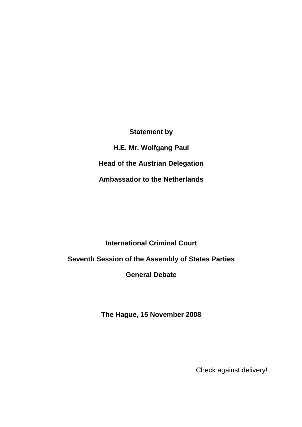**Statement by H.E. Mr. Wolfgang Paul Head of the Austrian Delegation Ambassador to the Netherlands** 

# **International Criminal Court**

## **Seventh Session of the Assembly of States Parties**

### **General Debate**

**The Hague, 15 November 2008** 

Check against delivery!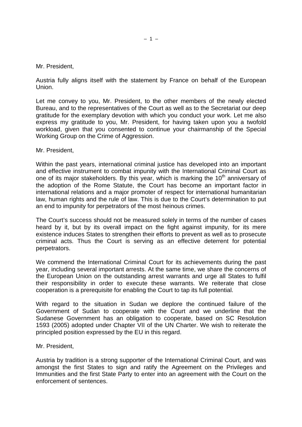#### Mr. President,

Austria fully aligns itself with the statement by France on behalf of the European Union.

Let me convey to you, Mr. President, to the other members of the newly elected Bureau, and to the representatives of the Court as well as to the Secretariat our deep gratitude for the exemplary devotion with which you conduct your work. Let me also express my gratitude to you, Mr. President, for having taken upon you a twofold workload, given that you consented to continue your chairmanship of the Special Working Group on the Crime of Aggression.

Mr. President,

Within the past years, international criminal justice has developed into an important and effective instrument to combat impunity with the International Criminal Court as one of its major stakeholders. By this year, which is marking the  $10<sup>th</sup>$  anniversary of the adoption of the Rome Statute, the Court has become an important factor in international relations and a major promoter of respect for international humanitarian law, human rights and the rule of law. This is due to the Court's determination to put an end to impunity for perpetrators of the most heinous crimes.

The Court's success should not be measured solely in terms of the number of cases heard by it, but by its overall impact on the fight against impunity, for its mere existence induces States to strengthen their efforts to prevent as well as to prosecute criminal acts. Thus the Court is serving as an effective deterrent for potential perpetrators.

We commend the International Criminal Court for its achievements during the past year, including several important arrests. At the same time, we share the concerns of the European Union on the outstanding arrest warrants and urge all States to fulfil their responsibility in order to execute these warrants. We reiterate that close cooperation is a prerequisite for enabling the Court to tap its full potential.

With regard to the situation in Sudan we deplore the continued failure of the Government of Sudan to cooperate with the Court and we underline that the Sudanese Government has an obligation to cooperate, based on SC Resolution 1593 (2005) adopted under Chapter VII of the UN Charter. We wish to reiterate the principled position expressed by the EU in this regard.

Mr. President,

Austria by tradition is a strong supporter of the International Criminal Court, and was amongst the first States to sign and ratify the Agreement on the Privileges and Immunities and the first State Party to enter into an agreement with the Court on the enforcement of sentences.